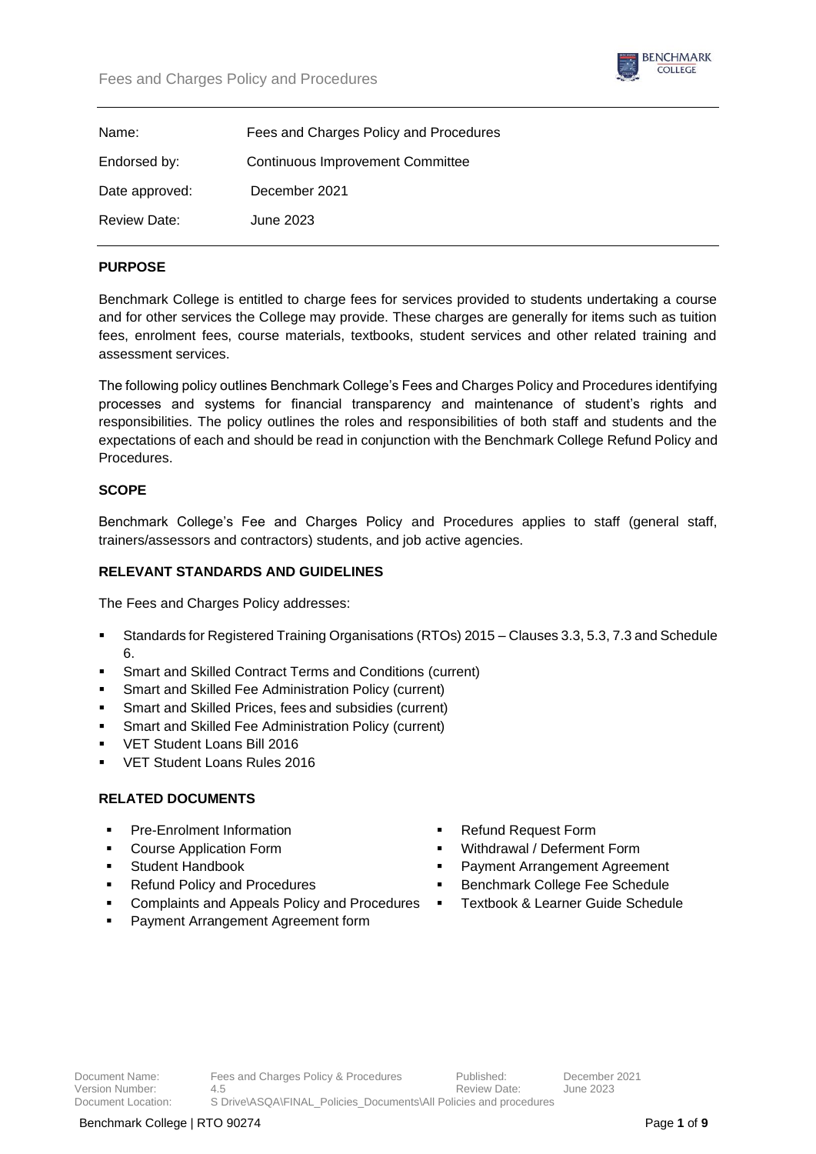

| Name:          | Fees and Charges Policy and Procedures  |
|----------------|-----------------------------------------|
| Endorsed by:   | <b>Continuous Improvement Committee</b> |
| Date approved: | December 2021                           |
| Review Date:   | June 2023.                              |

### **PURPOSE**

Benchmark College is entitled to charge fees for services provided to students undertaking a course and for other services the College may provide. These charges are generally for items such as tuition fees, enrolment fees, course materials, textbooks, student services and other related training and assessment services.

The following policy outlines Benchmark College's Fees and Charges Policy and Procedures identifying processes and systems for financial transparency and maintenance of student's rights and responsibilities. The policy outlines the roles and responsibilities of both staff and students and the expectations of each and should be read in conjunction with the Benchmark College Refund Policy and Procedures.

## **SCOPE**

Benchmark College's Fee and Charges Policy and Procedures applies to staff (general staff, trainers/assessors and contractors) students, and job active agencies.

#### **RELEVANT STANDARDS AND GUIDELINES**

The Fees and Charges Policy addresses:

- Standards for Registered Training Organisations (RTOs) 2015 Clauses 3.3, 5.3, 7.3 and Schedule 6.
- Smart and Skilled Contract Terms and Conditions (current)
- Smart and Skilled Fee Administration Policy (current)
- Smart and Skilled Prices, fees and subsidies (current)
- Smart and Skilled Fee Administration Policy (current)
- VET Student Loans Bill 2016
- VET Student Loans Rules 2016

#### **RELATED DOCUMENTS**

- Pre-Enrolment Information
- Course Application Form
- Student Handbook
- **Refund Policy and Procedures**
- Complaints and Appeals Policy and Procedures
- Payment Arrangement Agreement form
- **Refund Request Form**
- Withdrawal / Deferment Form
- Payment Arrangement Agreement
- Benchmark College Fee Schedule
- Textbook & Learner Guide Schedule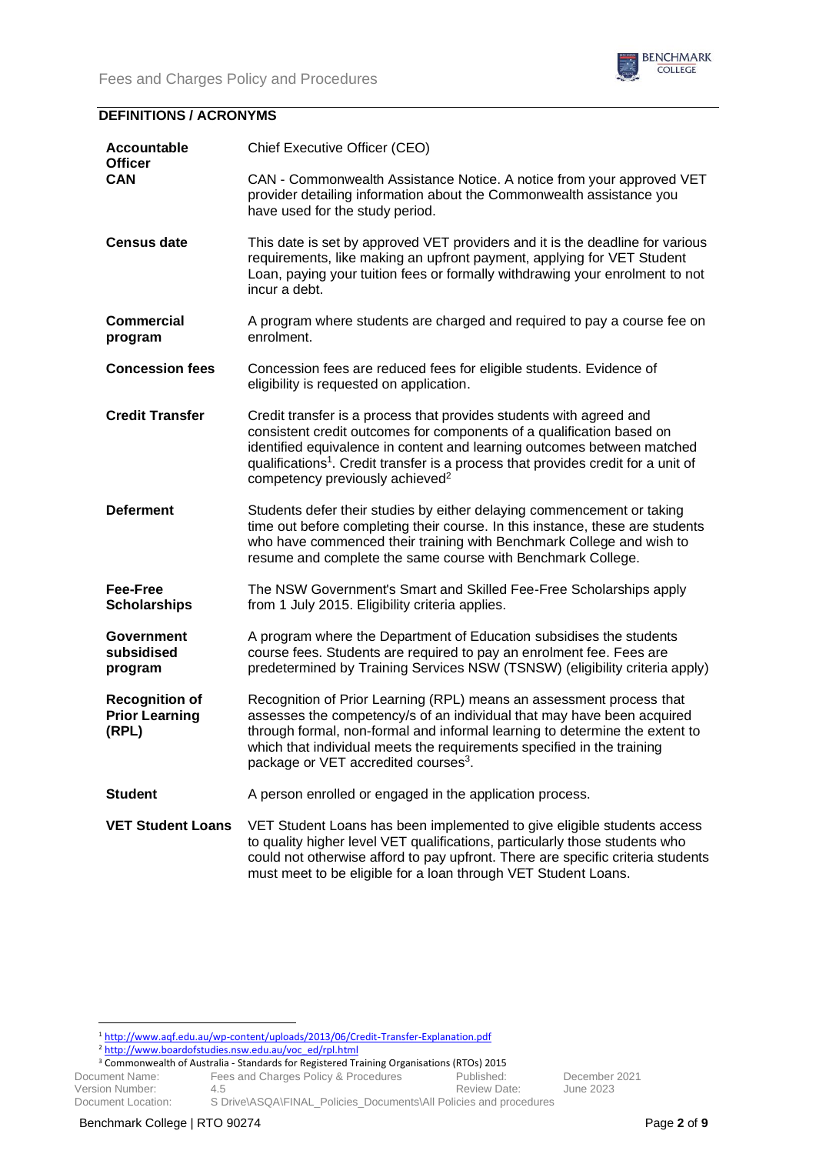

# **DEFINITIONS / ACRONYMS**

| <b>Accountable</b><br><b>Officer</b><br>CAN             | Chief Executive Officer (CEO)                                                                                                                                                                                                                                                                                                                                           |
|---------------------------------------------------------|-------------------------------------------------------------------------------------------------------------------------------------------------------------------------------------------------------------------------------------------------------------------------------------------------------------------------------------------------------------------------|
|                                                         | CAN - Commonwealth Assistance Notice. A notice from your approved VET<br>provider detailing information about the Commonwealth assistance you<br>have used for the study period.                                                                                                                                                                                        |
| <b>Census date</b>                                      | This date is set by approved VET providers and it is the deadline for various<br>requirements, like making an upfront payment, applying for VET Student<br>Loan, paying your tuition fees or formally withdrawing your enrolment to not<br>incur a debt.                                                                                                                |
| <b>Commercial</b><br>program                            | A program where students are charged and required to pay a course fee on<br>enrolment.                                                                                                                                                                                                                                                                                  |
| <b>Concession fees</b>                                  | Concession fees are reduced fees for eligible students. Evidence of<br>eligibility is requested on application.                                                                                                                                                                                                                                                         |
| <b>Credit Transfer</b>                                  | Credit transfer is a process that provides students with agreed and<br>consistent credit outcomes for components of a qualification based on<br>identified equivalence in content and learning outcomes between matched<br>qualifications <sup>1</sup> . Credit transfer is a process that provides credit for a unit of<br>competency previously achieved <sup>2</sup> |
| <b>Deferment</b>                                        | Students defer their studies by either delaying commencement or taking<br>time out before completing their course. In this instance, these are students<br>who have commenced their training with Benchmark College and wish to<br>resume and complete the same course with Benchmark College.                                                                          |
| Fee-Free<br><b>Scholarships</b>                         | The NSW Government's Smart and Skilled Fee-Free Scholarships apply<br>from 1 July 2015. Eligibility criteria applies.                                                                                                                                                                                                                                                   |
| Government<br>subsidised<br>program                     | A program where the Department of Education subsidises the students<br>course fees. Students are required to pay an enrolment fee. Fees are<br>predetermined by Training Services NSW (TSNSW) (eligibility criteria apply)                                                                                                                                              |
| <b>Recognition of</b><br><b>Prior Learning</b><br>(RPL) | Recognition of Prior Learning (RPL) means an assessment process that<br>assesses the competency/s of an individual that may have been acquired<br>through formal, non-formal and informal learning to determine the extent to<br>which that individual meets the requirements specified in the training<br>package or VET accredited courses <sup>3</sup> .             |
| <b>Student</b>                                          | A person enrolled or engaged in the application process.                                                                                                                                                                                                                                                                                                                |
| <b>VET Student Loans</b>                                | VET Student Loans has been implemented to give eligible students access<br>to quality higher level VET qualifications, particularly those students who<br>could not otherwise afford to pay upfront. There are specific criteria students<br>must meet to be eligible for a loan through VET Student Loans.                                                             |

<sup>1</sup> <http://www.aqf.edu.au/wp-content/uploads/2013/06/Credit-Transfer-Explanation.pdf>

<sup>&</sup>lt;sup>2</sup> [http://www.boardofstudies.nsw.edu.au/voc\\_ed/rpl.html](http://www.boardofstudies.nsw.edu.au/voc_ed/rpl.html)

Document Name: Fees and Charges Policy & Procedures Published: December 2021<br>Version Number: 4.5 4.5 Version Number: 4.5 Review Date: June 2023 Document Location: S Drive\ASQA\FINAL\_Policies\_Documents\All Policies and procedures <sup>3</sup> Commonwealth of Australia - Standards for Registered Training Organisations (RTOs) 2015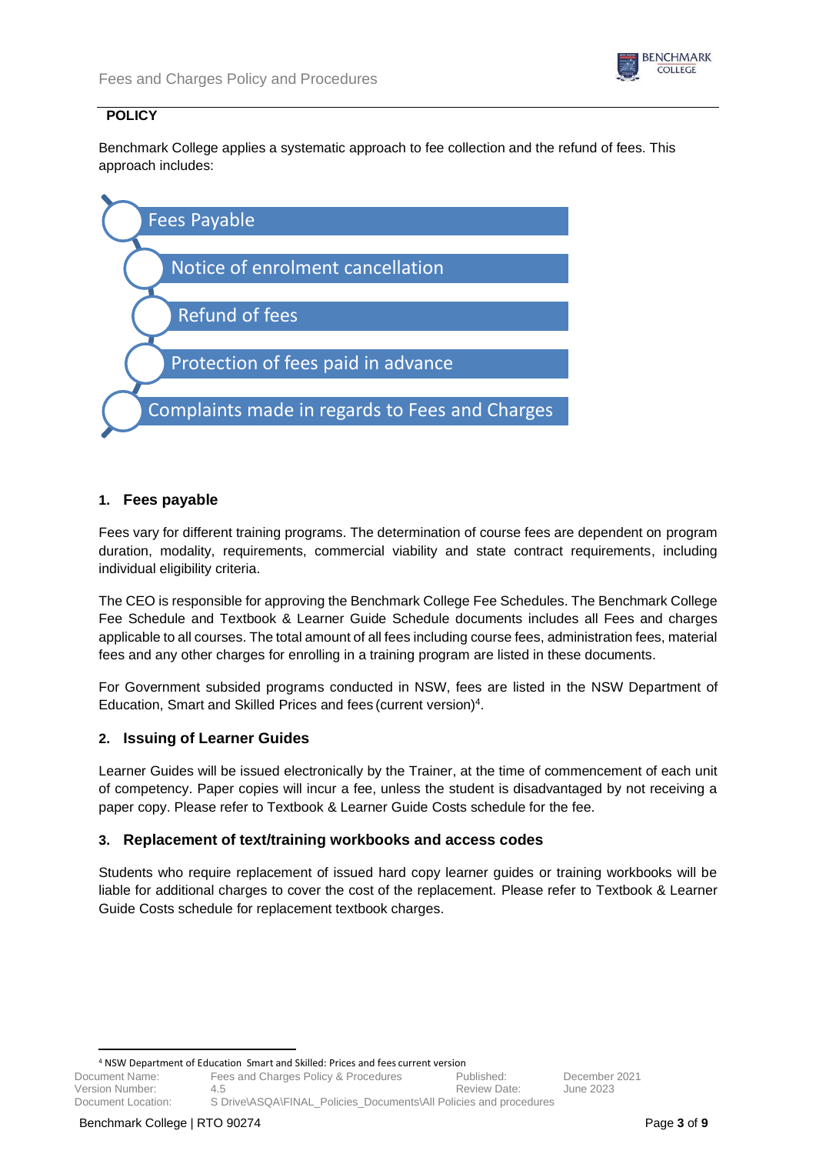

# **POLICY**

Benchmark College applies a systematic approach to fee collection and the refund of fees. This approach includes:



## **1. Fees payable**

Fees vary for different training programs. The determination of course fees are dependent on program duration, modality, requirements, commercial viability and state contract requirements, including individual eligibility criteria.

The CEO is responsible for approving the Benchmark College Fee Schedules. The Benchmark College Fee Schedule and Textbook & Learner Guide Schedule documents includes all Fees and charges applicable to all courses. The total amount of all fees including course fees, administration fees, material fees and any other charges for enrolling in a training program are listed in these documents.

For Government subsided programs conducted in NSW, fees are listed in the NSW Department of Education, Smart and Skilled Prices and fees (current version)<sup>4</sup>.

# **2. Issuing of Learner Guides**

Learner Guides will be issued electronically by the Trainer, at the time of commencement of each unit of competency. Paper copies will incur a fee, unless the student is disadvantaged by not receiving a paper copy. Please refer to Textbook & Learner Guide Costs schedule for the fee.

# **3. Replacement of text/training workbooks and access codes**

Students who require replacement of issued hard copy learner guides or training workbooks will be liable for additional charges to cover the cost of the replacement. Please refer to Textbook & Learner Guide Costs schedule for replacement textbook charges.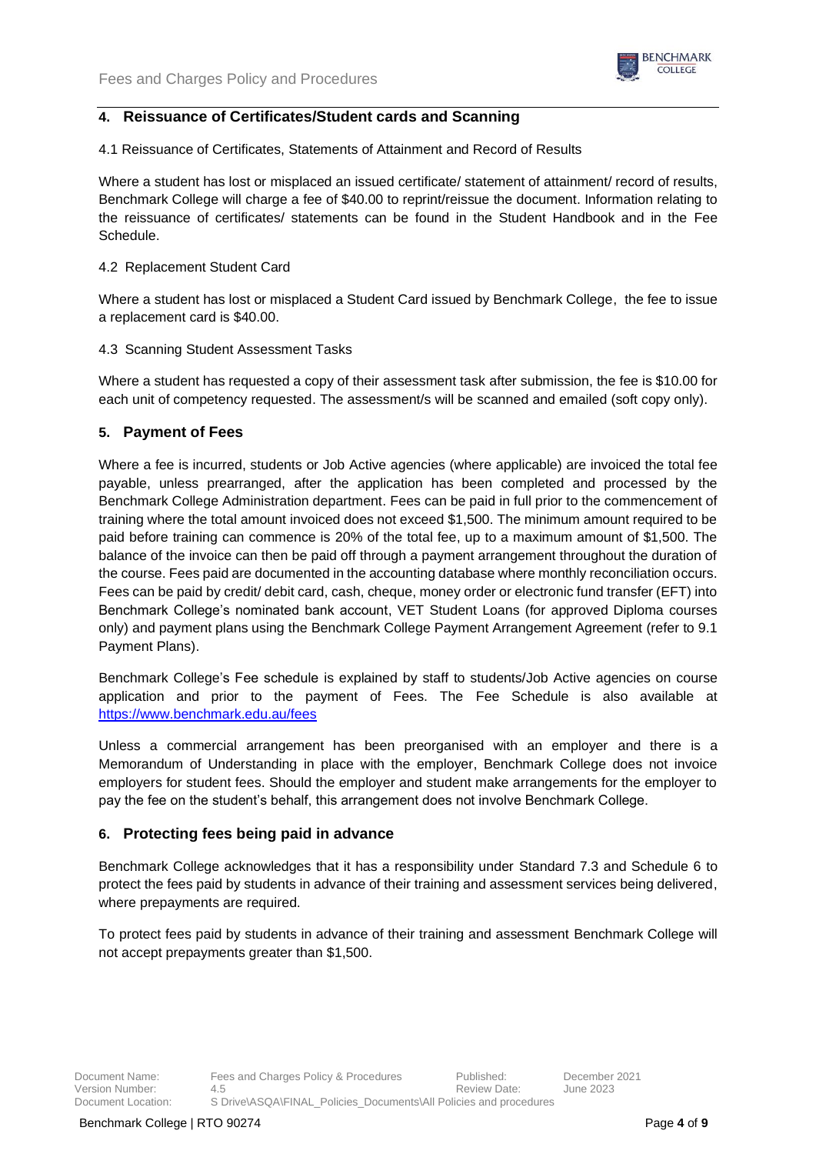

# **4. Reissuance of Certificates/Student cards and Scanning**

4.1 Reissuance of Certificates, Statements of Attainment and Record of Results

Where a student has lost or misplaced an issued certificate/ statement of attainment/ record of results, Benchmark College will charge a fee of \$40.00 to reprint/reissue the document. Information relating to the reissuance of certificates/ statements can be found in the Student Handbook and in the Fee Schedule.

### 4.2 Replacement Student Card

Where a student has lost or misplaced a Student Card issued by Benchmark College, the fee to issue a replacement card is \$40.00.

## 4.3 Scanning Student Assessment Tasks

Where a student has requested a copy of their assessment task after submission, the fee is \$10.00 for each unit of competency requested. The assessment/s will be scanned and emailed (soft copy only).

## **5. Payment of Fees**

Where a fee is incurred, students or Job Active agencies (where applicable) are invoiced the total fee payable, unless prearranged, after the application has been completed and processed by the Benchmark College Administration department. Fees can be paid in full prior to the commencement of training where the total amount invoiced does not exceed \$1,500. The minimum amount required to be paid before training can commence is 20% of the total fee, up to a maximum amount of \$1,500. The balance of the invoice can then be paid off through a payment arrangement throughout the duration of the course. Fees paid are documented in the accounting database where monthly reconciliation occurs. Fees can be paid by credit/ debit card, cash, cheque, money order or electronic fund transfer (EFT) into Benchmark College's nominated bank account, VET Student Loans (for approved Diploma courses only) and payment plans using the Benchmark College Payment Arrangement Agreement (refer to 9.1 Payment Plans).

Benchmark College's Fee schedule is explained by staff to students/Job Active agencies on course application and prior to the payment of Fees. The Fee Schedule is also available at <https://www.benchmark.edu.au/fees>

Unless a commercial arrangement has been preorganised with an employer and there is a Memorandum of Understanding in place with the employer, Benchmark College does not invoice employers for student fees. Should the employer and student make arrangements for the employer to pay the fee on the student's behalf, this arrangement does not involve Benchmark College.

# **6. Protecting fees being paid in advance**

Benchmark College acknowledges that it has a responsibility under Standard 7.3 and Schedule 6 to protect the fees paid by students in advance of their training and assessment services being delivered, where prepayments are required.

To protect fees paid by students in advance of their training and assessment Benchmark College will not accept prepayments greater than \$1,500.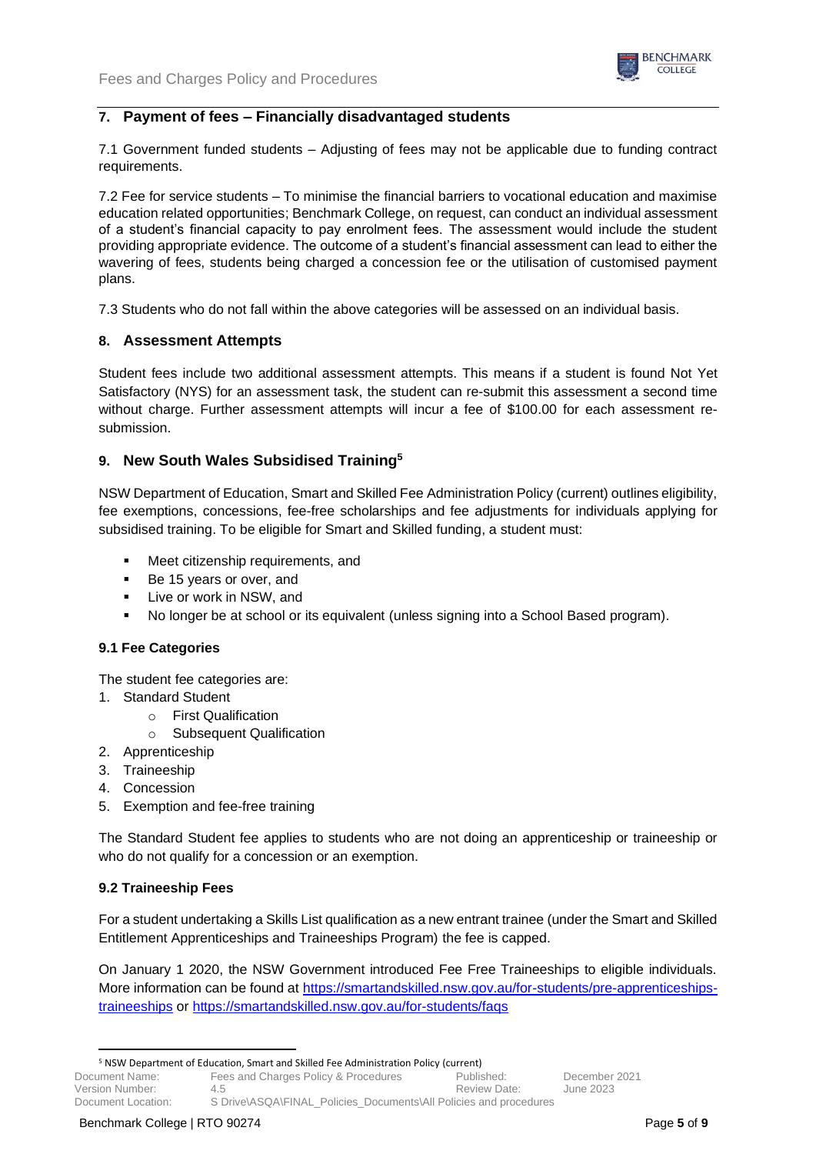

# **7. Payment of fees – Financially disadvantaged students**

7.1 Government funded students – Adjusting of fees may not be applicable due to funding contract requirements.

7.2 Fee for service students – To minimise the financial barriers to vocational education and maximise education related opportunities; Benchmark College, on request, can conduct an individual assessment of a student's financial capacity to pay enrolment fees. The assessment would include the student providing appropriate evidence. The outcome of a student's financial assessment can lead to either the wavering of fees, students being charged a concession fee or the utilisation of customised payment plans.

7.3 Students who do not fall within the above categories will be assessed on an individual basis.

## **8. Assessment Attempts**

Student fees include two additional assessment attempts. This means if a student is found Not Yet Satisfactory (NYS) for an assessment task, the student can re-submit this assessment a second time without charge. Further assessment attempts will incur a fee of \$100.00 for each assessment resubmission.

# **9. New South Wales Subsidised Training<sup>5</sup>**

NSW Department of Education, Smart and Skilled Fee Administration Policy (current) outlines eligibility, fee exemptions, concessions, fee-free scholarships and fee adjustments for individuals applying for subsidised training. To be eligible for Smart and Skilled funding, a student must:

- Meet citizenship requirements, and
- Be 15 years or over, and
- Live or work in NSW, and
- No longer be at school or its equivalent (unless signing into a School Based program).

#### **9.1 Fee Categories**

The student fee categories are:

- 1. Standard Student
	- o First Qualification
		- o Subsequent Qualification
- 2. Apprenticeship
- 3. Traineeship
- 4. Concession
- 5. Exemption and fee-free training

The Standard Student fee applies to students who are not doing an apprenticeship or traineeship or who do not qualify for a concession or an exemption.

#### **9.2 Traineeship Fees**

For a student undertaking a Skills List qualification as a new entrant trainee (under the Smart and Skilled Entitlement Apprenticeships and Traineeships Program) the fee is capped.

On January 1 2020, the NSW Government introduced Fee Free Traineeships to eligible individuals. More information can be found at [https://smartandskilled.nsw.gov.au/for-students/pre-apprenticeships](https://smartandskilled.nsw.gov.au/for-students/pre-apprenticeships-traineeships)[traineeships](https://smartandskilled.nsw.gov.au/for-students/pre-apprenticeships-traineeships) or<https://smartandskilled.nsw.gov.au/for-students/faqs>

<sup>5</sup> NSW Department of Education, Smart and Skilled Fee Administration Policy (current)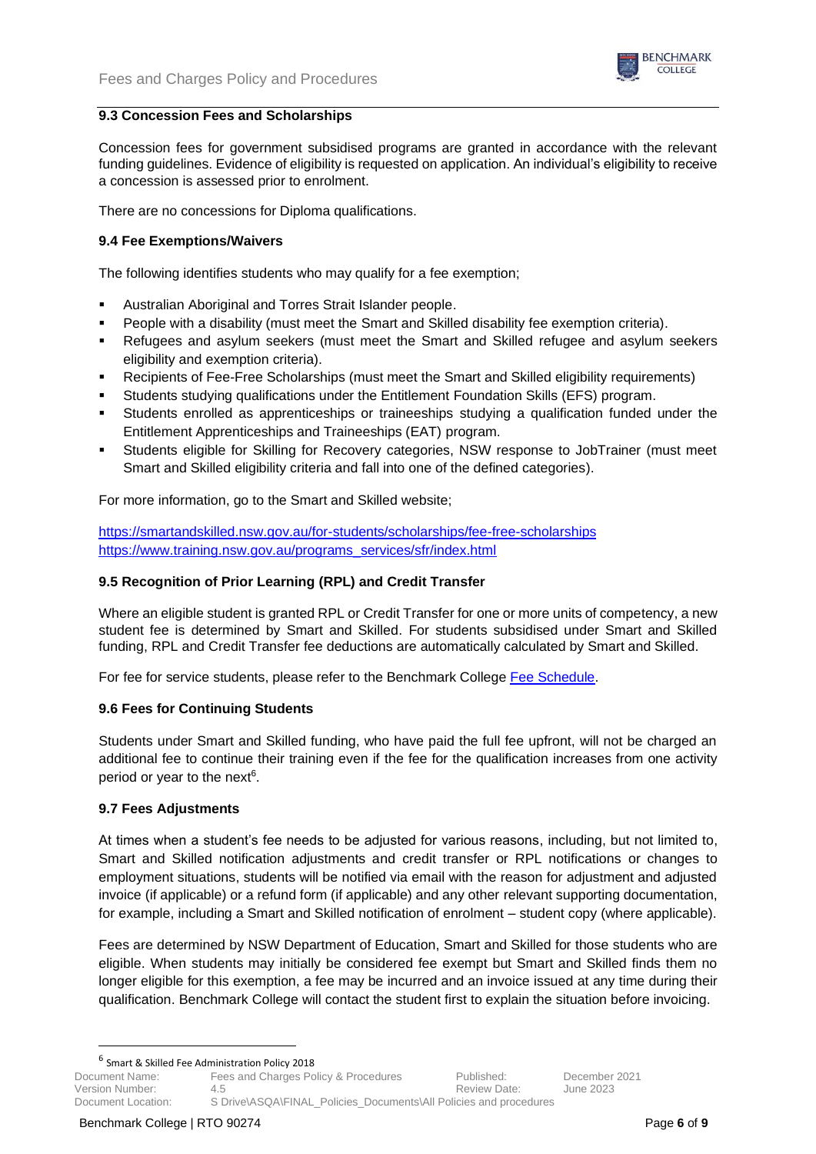

### **9.3 Concession Fees and Scholarships**

Concession fees for government subsidised programs are granted in accordance with the relevant funding guidelines. Evidence of eligibility is requested on application. An individual's eligibility to receive a concession is assessed prior to enrolment.

There are no concessions for Diploma qualifications.

## **9.4 Fee Exemptions/Waivers**

The following identifies students who may qualify for a fee exemption;

- Australian Aboriginal and Torres Strait Islander people.
- People with a disability (must meet the Smart and Skilled disability fee exemption criteria).
- Refugees and asylum seekers (must meet the Smart and Skilled refugee and asylum seekers eligibility and exemption criteria).
- Recipients of Fee-Free Scholarships (must meet the Smart and Skilled eligibility requirements)
- Students studying qualifications under the Entitlement Foundation Skills (EFS) program.
- Students enrolled as apprenticeships or traineeships studying a qualification funded under the Entitlement Apprenticeships and Traineeships (EAT) program.
- Students eligible for Skilling for Recovery categories, NSW response to JobTrainer (must meet Smart and Skilled eligibility criteria and fall into one of the defined categories).

For more information, go to the Smart and Skilled website;

<https://smartandskilled.nsw.gov.au/for-students/scholarships/fee-free-scholarships> [https://www.training.nsw.gov.au/programs\\_services/sfr/index.html](https://www.training.nsw.gov.au/programs_services/sfr/index.html)

## **9.5 Recognition of Prior Learning (RPL) and Credit Transfer**

Where an eligible student is granted RPL or Credit Transfer for one or more units of competency, a new student fee is determined by Smart and Skilled. For students subsidised under Smart and Skilled funding, RPL and Credit Transfer fee deductions are automatically calculated by Smart and Skilled.

For fee for service students, please refer to the Benchmark College [Fee Schedule.](https://www.benchmark.edu.au/fees)

#### **9.6 Fees for Continuing Students**

Students under Smart and Skilled funding, who have paid the full fee upfront, will not be charged an additional fee to continue their training even if the fee for the qualification increases from one activity period or year to the next<sup>6</sup>.

#### **9.7 Fees Adjustments**

At times when a student's fee needs to be adjusted for various reasons, including, but not limited to, Smart and Skilled notification adjustments and credit transfer or RPL notifications or changes to employment situations, students will be notified via email with the reason for adjustment and adjusted invoice (if applicable) or a refund form (if applicable) and any other relevant supporting documentation, for example, including a Smart and Skilled notification of enrolment – student copy (where applicable).

Fees are determined by NSW Department of Education, Smart and Skilled for those students who are eligible. When students may initially be considered fee exempt but Smart and Skilled finds them no longer eligible for this exemption, a fee may be incurred and an invoice issued at any time during their qualification. Benchmark College will contact the student first to explain the situation before invoicing.

6 Smart & Skilled Fee Administration Policy 2018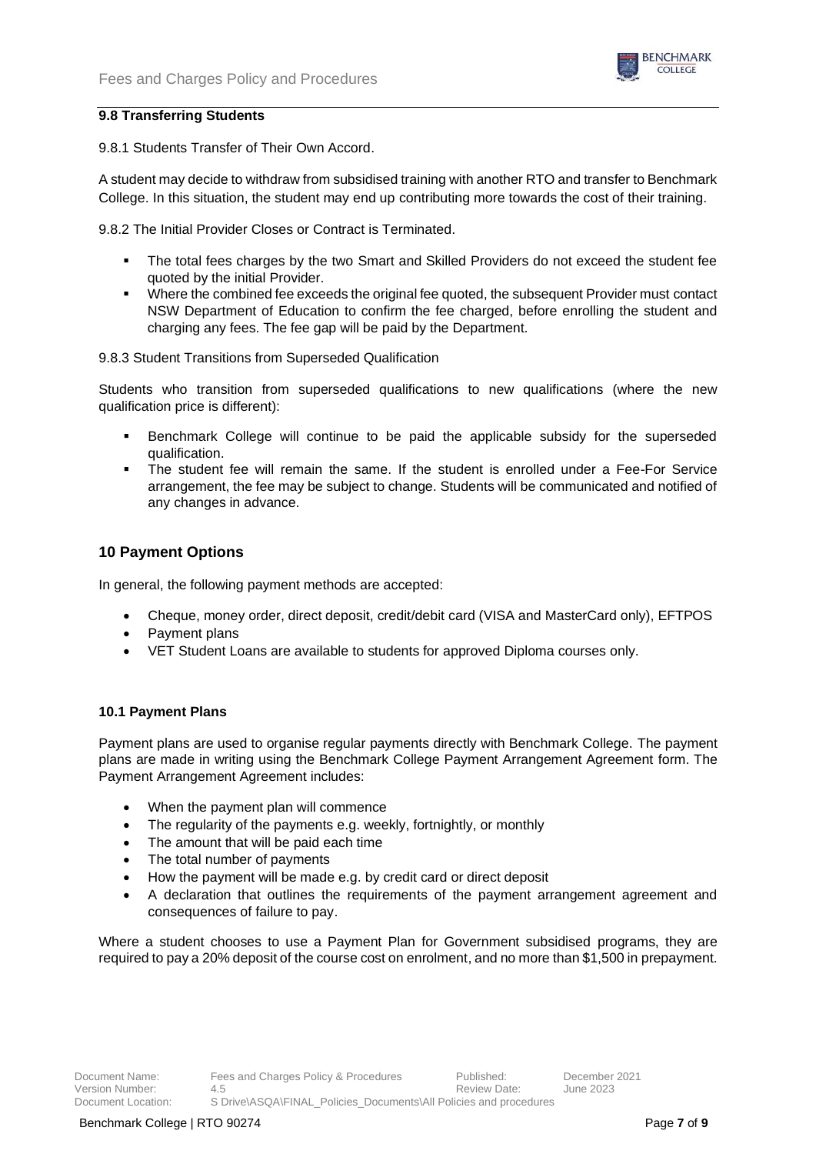

### **9.8 Transferring Students**

9.8.1 Students Transfer of Their Own Accord.

A student may decide to withdraw from subsidised training with another RTO and transfer to Benchmark College. In this situation, the student may end up contributing more towards the cost of their training.

9.8.2 The Initial Provider Closes or Contract is Terminated.

- The total fees charges by the two Smart and Skilled Providers do not exceed the student fee quoted by the initial Provider.
- Where the combined fee exceeds the original fee quoted, the subsequent Provider must contact NSW Department of Education to confirm the fee charged, before enrolling the student and charging any fees. The fee gap will be paid by the Department.

9.8.3 Student Transitions from Superseded Qualification

Students who transition from superseded qualifications to new qualifications (where the new qualification price is different):

- Benchmark College will continue to be paid the applicable subsidy for the superseded qualification.
- The student fee will remain the same. If the student is enrolled under a Fee-For Service arrangement, the fee may be subject to change. Students will be communicated and notified of any changes in advance.

# **10 Payment Options**

In general, the following payment methods are accepted:

- Cheque, money order, direct deposit, credit/debit card (VISA and MasterCard only), EFTPOS
- Payment plans
- VET Student Loans are available to students for approved Diploma courses only.

#### **10.1 Payment Plans**

Payment plans are used to organise regular payments directly with Benchmark College. The payment plans are made in writing using the Benchmark College Payment Arrangement Agreement form. The Payment Arrangement Agreement includes:

- When the payment plan will commence
- The regularity of the payments e.g. weekly, fortnightly, or monthly
- The amount that will be paid each time
- The total number of payments
- How the payment will be made e.g. by credit card or direct deposit
- A declaration that outlines the requirements of the payment arrangement agreement and consequences of failure to pay.

Where a student chooses to use a Payment Plan for Government subsidised programs, they are required to pay a 20% depositof the course cost on enrolment, and no more than \$1,500 in prepayment.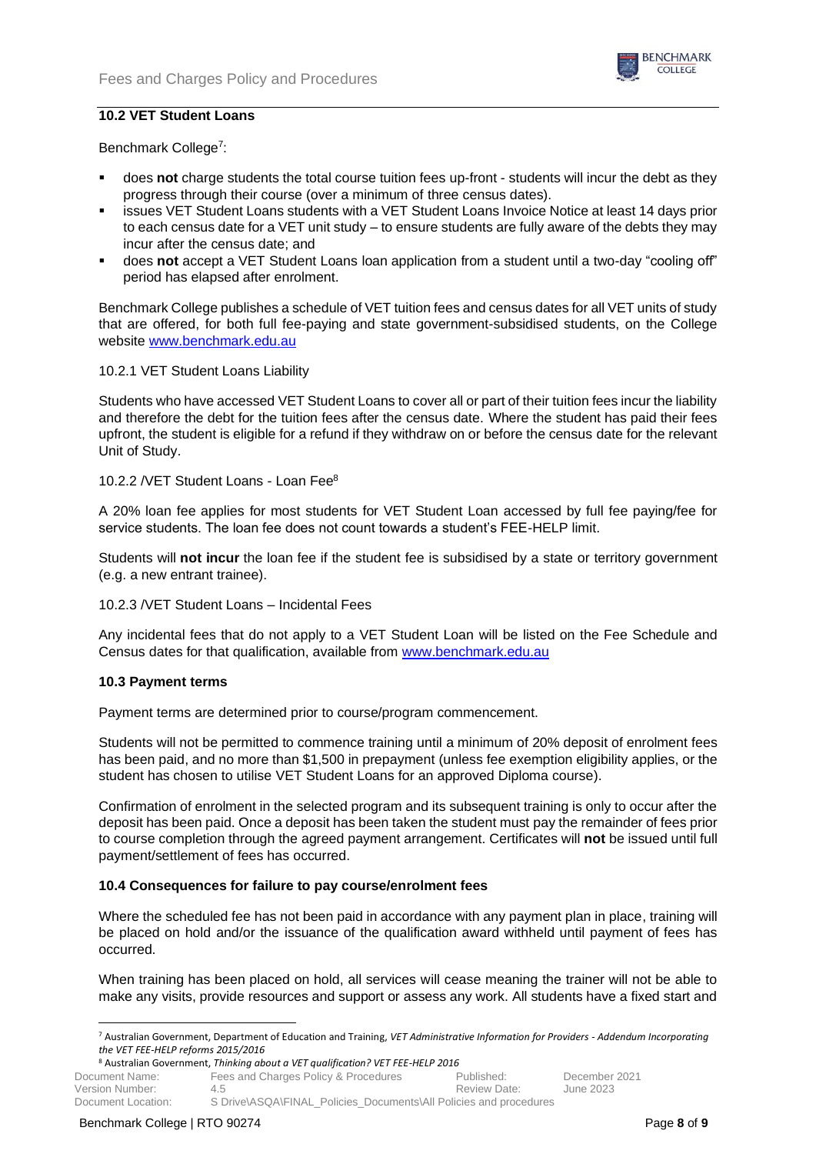

### **10.2 VET Student Loans**

Benchmark College<sup>7</sup>:

- does **not** charge students the total course tuition fees up-front students will incur the debt as they progress through their course (over a minimum of three census dates).
- issues VET Student Loans students with a VET Student Loans Invoice Notice at least 14 days prior to each census date for a VET unit study – to ensure students are fully aware of the debts they may incur after the census date; and
- does not accept a VET Student Loans loan application from a student until a two-day "cooling off" period has elapsed after enrolment.

Benchmark College publishes a schedule of VET tuition fees and census dates for all VET units of study that are offered, for both full fee-paying and state government-subsidised students, on the College website [www.benchmark.edu.au](http://www.benchmark.edu.au/)

#### 10.2.1 VET Student Loans Liability

Students who have accessed VET Student Loans to cover all or part of their tuition fees incur the liability and therefore the debt for the tuition fees after the census date. Where the student has paid their fees upfront, the student is eligible for a refund if they withdraw on or before the census date for the relevant Unit of Study.

#### 10.2.2 /VET Student Loans - Loan Fee<sup>8</sup>

A 20% loan fee applies for most students for VET Student Loan accessed by full fee paying/fee for service students. The loan fee does not count towards a student's FEE-HELP limit.

Students will **not incur** the loan fee if the student fee is subsidised by a state or territory government (e.g. a new entrant trainee).

#### 10.2.3 /VET Student Loans – Incidental Fees

Any incidental fees that do not apply to a VET Student Loan will be listed on the Fee Schedule and Census dates for that qualification, available from [www.benchmark.edu.au](http://www.benchmark.edu.au/)

#### **10.3 Payment terms**

Payment terms are determined prior to course/program commencement.

Students will not be permitted to commence training until a minimum of 20% deposit of enrolment fees has been paid, and no more than \$1,500 in prepayment (unless fee exemption eligibility applies, or the student has chosen to utilise VET Student Loans for an approved Diploma course).

Confirmation of enrolment in the selected program and its subsequent training is only to occur after the deposit has been paid. Once a deposit has been taken the student must pay the remainder of fees prior to course completion through the agreed payment arrangement. Certificates will **not** be issued until full payment/settlement of fees has occurred.

#### **10.4 Consequences for failure to pay course/enrolment fees**

Where the scheduled fee has not been paid in accordance with any payment plan in place, training will be placed on hold and/or the issuance of the qualification award withheld until payment of fees has occurred.

When training has been placed on hold, all services will cease meaning the trainer will not be able to make any visits, provide resources and support or assess any work. All students have a fixed start and

<sup>7</sup> Australian Government, Department of Education and Training, *VET Administrative Information for Providers - Addendum Incorporating the VET FEE-HELP reforms 2015/2016*

<sup>8</sup> Australian Government, *Thinking about a VET qualification? VET FEE-HELP 2016*